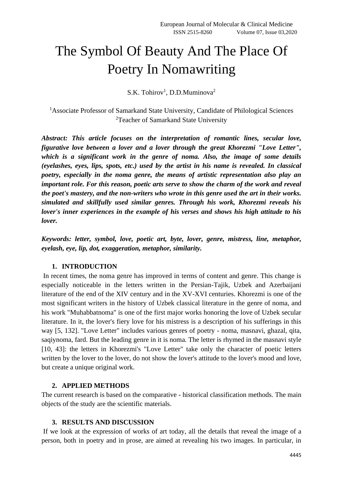# The Symbol Of Beauty And The Place Of Poetry In Nomawriting

S.K. Tohirov<sup>1</sup>, D.D.Muminova<sup>2</sup>

<sup>1</sup>Associate Professor of Samarkand State University, Candidate of Philological Sciences <sup>2</sup>Teacher of Samarkand State University

*Abstract: This article focuses on the interpretation of romantic lines, secular love, figurative love between a lover and a lover through the great Khorezmi "Love Letter", which is a significant work in the genre of noma. Also, the image of some details (eyelashes, eyes, lips, spots, etc.) used by the artist in his name is revealed. In classical poetry, especially in the noma genre, the means of artistic representation also play an important role. For this reason, poetic arts serve to show the charm of the work and reveal the poet's mastery, and the non-writers who wrote in this genre used the art in their works. simulated and skillfully used similar genres. Through his work, Khorezmi reveals his lover's inner experiences in the example of his verses and shows his high attitude to his lover.*

*Keywords: letter, symbol, love, poetic art, byte, lover, genre, mistress, line, metaphor, eyelash, eye, lip, dot, exaggeration, metaphor, similarity.*

### **1. INTRODUCTION**

In recent times, the noma genre has improved in terms of content and genre. This change is especially noticeable in the letters written in the Persian-Tajik, Uzbek and Azerbaijani literature of the end of the XIV century and in the XV-XVI centuries. Khorezmi is one of the most significant writers in the history of Uzbek classical literature in the genre of noma, and his work "Muhabbatnoma" is one of the first major works honoring the love of Uzbek secular literature. In it, the lover's fiery love for his mistress is a description of his sufferings in this way [5, 132]. "Love Letter" includes various genres of poetry - noma, masnavi, ghazal, qita, saqiynoma, fard. But the leading genre in it is noma. The letter is rhymed in the masnavi style [10, 43]: the letters in Khorezmi's "Love Letter" take only the character of poetic letters written by the lover to the lover, do not show the lover's attitude to the lover's mood and love, but create a unique original work.

#### **2. APPLIED METHODS**

The current research is based on the comparative - historical classification methods. The main objects of the study are the scientific materials.

#### **3. RESULTS AND DISCUSSION**

If we look at the expression of works of art today, all the details that reveal the image of a person, both in poetry and in prose, are aimed at revealing his two images. In particular, in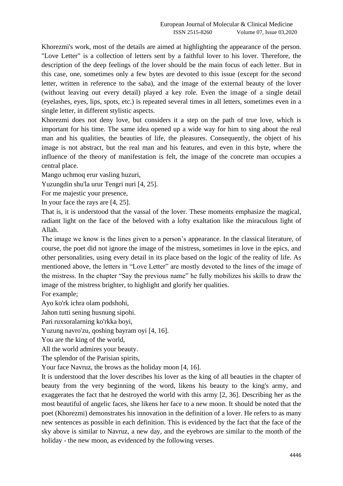Khorezmi's work, most of the details are aimed at highlighting the appearance of the person. "Love Letter" is a collection of letters sent by a faithful lover to his lover. Therefore, the description of the deep feelings of the lover should be the main focus of each letter. But in this case, one, sometimes only a few bytes are devoted to this issue (except for the second letter, written in reference to the saba), and the image of the external beauty of the lover (without leaving out every detail) played a key role. Even the image of a single detail (eyelashes, eyes, lips, spots, etc.) is repeated several times in all letters, sometimes even in a single letter, in different stylistic aspects.

Khorezmi does not deny love, but considers it a step on the path of true love, which is important for his time. The same idea opened up a wide way for him to sing about the real man and his qualities, the beauties of life, the pleasures. Consequently, the object of his image is not abstract, but the real man and his features, and even in this byte, where the influence of the theory of manifestation is felt, the image of the concrete man occupies a central place.

Mango uchmoq erur vasling huzuri,

Yuzungdin shu'la urur Tengri nuri [4, 25].

For me majestic your presence,

In your face the rays are [4, 25].

That is, it is understood that the vassal of the lover. These moments emphasize the magical, radiant light on the face of the beloved with a lofty exaltation like the miraculous light of Allah.

The image we know is the lines given to a person's appearance. In the classical literature, of course, the poet did not ignore the image of the mistress, sometimes in love in the epics, and other personalities, using every detail in its place based on the logic of the reality of life. As mentioned above, the letters in "Love Letter" are mostly devoted to the lines of the image of the mistress. In the chapter "Say the previous name" he fully mobilizes his skills to draw the image of the mistress brighter, to highlight and glorify her qualities.

For example;

Ayo ko'rk ichra olam podshohi,

Jahon tutti sening husnung sipohi.

Pari ruxsoralarning ko'rkka boyi,

Yuzung navro'zu, qoshing bayram oyi [4, 16].

You are the king of the world,

All the world admires your beauty.

The splendor of the Parisian spirits,

Your face Navruz, the brows as the holiday moon [4, 16].

It is understood that the lover describes his lover as the king of all beauties in the chapter of beauty from the very beginning of the word, likens his beauty to the king's army, and exaggerates the fact that he destroyed the world with this army [2, 36]. Describing her as the most beautiful of angelic faces, she likens her face to a new moon. It should be noted that the poet (Khorezmi) demonstrates his innovation in the definition of a lover. He refers to as many new sentences as possible in each definition. This is evidenced by the fact that the face of the sky above is similar to Navruz, a new day, and the eyebrows are similar to the month of the holiday - the new moon, as evidenced by the following verses.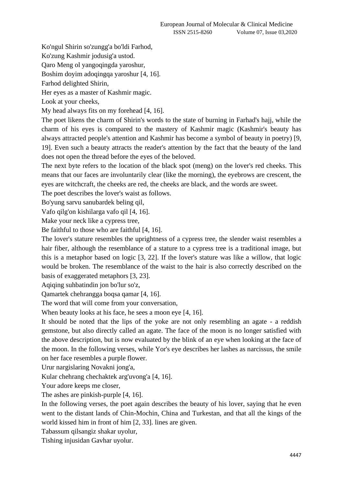Ko'ngul Shirin so'zungg'a bo'ldi Farhod,

Ko'zung Kashmir jodusig'a ustod.

Qaro Meng ol yangoqingda yaroshur,

Boshim doyim adoqingqa yaroshur [4, 16].

Farhod delighted Shirin,

Her eyes as a master of Kashmir magic.

Look at your cheeks,

My head always fits on my forehead [4, 16].

The poet likens the charm of Shirin's words to the state of burning in Farhad's hajj, while the charm of his eyes is compared to the mastery of Kashmir magic (Kashmir's beauty has always attracted people's attention and Kashmir has become a symbol of beauty in poetry) [9, 19]. Even such a beauty attracts the reader's attention by the fact that the beauty of the land does not open the thread before the eyes of the beloved.

The next byte refers to the location of the black spot (meng) on the lover's red cheeks. This means that our faces are involuntarily clear (like the morning), the eyebrows are crescent, the eyes are witchcraft, the cheeks are red, the cheeks are black, and the words are sweet.

The poet describes the lover's waist as follows.

Bo'yung sarvu sanubardek beling qil,

Vafo qilg'on kishilarga vafo qil [4, 16].

Make your neck like a cypress tree,

Be faithful to those who are faithful [4, 16].

The lover's stature resembles the uprightness of a cypress tree, the slender waist resembles a hair fiber, although the resemblance of a stature to a cypress tree is a traditional image, but this is a metaphor based on logic [3, 22]. If the lover's stature was like a willow, that logic would be broken. The resemblance of the waist to the hair is also correctly described on the basis of exaggerated metaphors [3, 23].

Aqiqing suhbatindin jon bo'lur so'z,

Qamartek chehrangga boqsa qamar [4, 16].

The word that will come from your conversation,

When beauty looks at his face, he sees a moon eye [4, 16].

It should be noted that the lips of the yoke are not only resembling an agate - a reddish gemstone, but also directly called an agate. The face of the moon is no longer satisfied with the above description, but is now evaluated by the blink of an eye when looking at the face of the moon. In the following verses, while Yor's eye describes her lashes as narcissus, the smile on her face resembles a purple flower.

Urur nargislaring Novakni jong'a,

Kular chehrang chechaktek arg'uvong'a [4, 16].

Your adore keeps me closer,

The ashes are pinkish-purple [4, 16].

In the following verses, the poet again describes the beauty of his lover, saying that he even went to the distant lands of Chin-Mochin, China and Turkestan, and that all the kings of the world kissed him in front of him [2, 33]. lines are given.

Tabassum qilsangiz shakar uyolur,

Tishing injusidan Gavhar uyolur.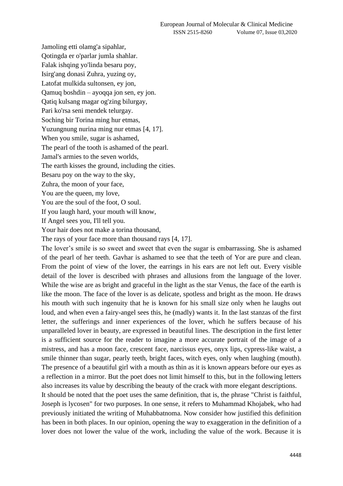Jamoling etti olamg'a sipahlar, Qotingda er o'parlar jumla shahlar. Falak ishqing yo'linda besaru poy, Isirg'ang donasi Zuhra, yuzing oy, Latofat mulkida sultonsen, ey jon, Qamuq boshdin – ayoqqa jon sen, ey jon. Qatiq kulsang magar og'zing bilurgay, Pari ko'rsa seni mendek telurgay. Soching bir Torina ming hur etmas, Yuzungnung nurina ming nur etmas [4, 17]. When you smile, sugar is ashamed, The pearl of the tooth is ashamed of the pearl. Jamal's armies to the seven worlds, The earth kisses the ground, including the cities. Besaru poy on the way to the sky, Zuhra, the moon of your face, You are the queen, my love, You are the soul of the foot, O soul. If you laugh hard, your mouth will know, If Angel sees you, I'll tell you. Your hair does not make a torina thousand, The rays of your face more than thousand rays [4, 17].

The lover's smile is so sweet and sweet that even the sugar is embarrassing. She is ashamed of the pearl of her teeth. Gavhar is ashamed to see that the teeth of Yor are pure and clean. From the point of view of the lover, the earrings in his ears are not left out. Every visible detail of the lover is described with phrases and allusions from the language of the lover. While the wise are as bright and graceful in the light as the star Venus, the face of the earth is like the moon. The face of the lover is as delicate, spotless and bright as the moon. He draws his mouth with such ingenuity that he is known for his small size only when he laughs out loud, and when even a fairy-angel sees this, he (madly) wants it. In the last stanzas of the first letter, the sufferings and inner experiences of the lover, which he suffers because of his unparalleled lover in beauty, are expressed in beautiful lines. The description in the first letter is a sufficient source for the reader to imagine a more accurate portrait of the image of a mistress, and has a moon face, crescent face, narcissus eyes, onyx lips, cypress-like waist, a smile thinner than sugar, pearly teeth, bright faces, witch eyes, only when laughing (mouth). The presence of a beautiful girl with a mouth as thin as it is known appears before our eyes as a reflection in a mirror. But the poet does not limit himself to this, but in the following letters also increases its value by describing the beauty of the crack with more elegant descriptions.

It should be noted that the poet uses the same definition, that is, the phrase "Christ is faithful, Joseph is lycosen" for two purposes. In one sense, it refers to Muhammad Khojabek, who had previously initiated the writing of Muhabbatnoma. Now consider how justified this definition has been in both places. In our opinion, opening the way to exaggeration in the definition of a lover does not lower the value of the work, including the value of the work. Because it is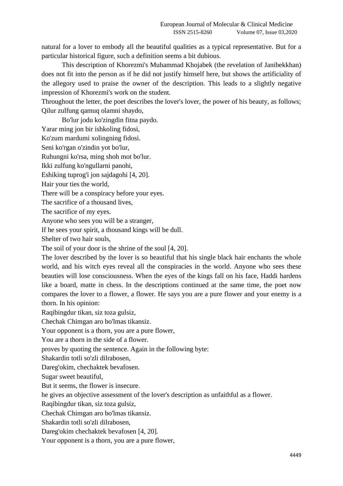natural for a lover to embody all the beautiful qualities as a typical representative. But for a particular historical figure, such a definition seems a bit dubious.

This description of Khorezmi's Muhammad Khojabek (the revelation of Janibekkhan) does not fit into the person as if he did not justify himself here, but shows the artificiality of the allegory used to praise the owner of the description. This leads to a slightly negative impression of Khorezmi's work on the student.

Throughout the letter, the poet describes the lover's lover, the power of his beauty, as follows; Qilur zulfung qamuq olamni shaydo,

Bo'lur jodu ko'zingdin fitna paydo.

Yarar ming jon bir ishkoling fidosi,

Ko'zum mardumi xolingning fidosi.

Seni ko'rgan o'zindin yot bo'lur,

Ruhungni ko'rsa, ming shoh mot bo'lur.

Ikki zulfung ko'ngullarni panohi,

Eshiking tuprog'i jon sajdagohi [4, 20].

Hair your ties the world,

There will be a conspiracy before your eyes.

The sacrifice of a thousand lives,

The sacrifice of my eyes.

Anyone who sees you will be a stranger,

If he sees your spirit, a thousand kings will be dull.

Shelter of two hair souls,

The soil of your door is the shrine of the soul [4, 20].

The lover described by the lover is so beautiful that his single black hair enchants the whole world, and his witch eyes reveal all the conspiracies in the world. Anyone who sees these beauties will lose consciousness. When the eyes of the kings fall on his face, Haddi hardens like a board, matte in chess. In the descriptions continued at the same time, the poet now compares the lover to a flower, a flower. He says you are a pure flower and your enemy is a thorn. In his opinion:

Raqibingdur tikan, siz toza gulsiz,

Chechak Chimgan aro bo'lmas tikansiz.

Your opponent is a thorn, you are a pure flower,

You are a thorn in the side of a flower.

proves by quoting the sentence. Again in the following byte:

Shakardin totli so'zli dilrabosen,

Dareg'okim, chechaktek bevafosen.

Sugar sweet beautiful,

But it seems, the flower is insecure.

he gives an objective assessment of the lover's description as unfaithful as a flower.

Raqibingdur tikan, siz toza gulsiz,

Chechak Chimgan aro bo'lmas tikansiz.

Shakardin totli so'zli dilrabosen,

Dareg'okim chechaktek bevafosen [4, 20].

Your opponent is a thorn, you are a pure flower,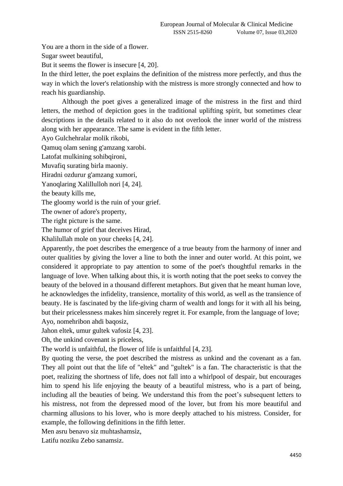You are a thorn in the side of a flower.

Sugar sweet beautiful,

But it seems the flower is insecure [4, 20].

In the third letter, the poet explains the definition of the mistress more perfectly, and thus the way in which the lover's relationship with the mistress is more strongly connected and how to reach his guardianship.

Although the poet gives a generalized image of the mistress in the first and third letters, the method of depiction goes in the traditional uplifting spirit, but sometimes clear descriptions in the details related to it also do not overlook the inner world of the mistress along with her appearance. The same is evident in the fifth letter.

Ayo Gulchehralar molik rikobi,

Qamuq olam sening g'amzang xarobi.

Latofat mulkining sohibqironi,

Muvafiq surating birla maoniy.

Hiradni ozdurur g'amzang xumori,

Yanoqlaring Xalillulloh nori [4, 24].

the beauty kills me,

The gloomy world is the ruin of your grief.

The owner of adore's property,

The right picture is the same.

The humor of grief that deceives Hirad,

Khalilullah mole on your cheeks [4, 24].

Apparently, the poet describes the emergence of a true beauty from the harmony of inner and outer qualities by giving the lover a line to both the inner and outer world. At this point, we considered it appropriate to pay attention to some of the poet's thoughtful remarks in the language of love. When talking about this, it is worth noting that the poet seeks to convey the beauty of the beloved in a thousand different metaphors. But given that he meant human love, he acknowledges the infidelity, transience, mortality of this world, as well as the transience of beauty. He is fascinated by the life-giving charm of wealth and longs for it with all his being, but their pricelessness makes him sincerely regret it. For example, from the language of love; Ayo, nomehribon ahdi baqosiz,

Jahon eltek, umur gultek vafosiz [4, 23].

Oh, the unkind covenant is priceless,

The world is unfaithful, the flower of life is unfaithful [4, 23].

By quoting the verse, the poet described the mistress as unkind and the covenant as a fan. They all point out that the life of "eltek" and "gultek" is a fan. The characteristic is that the poet, realizing the shortness of life, does not fall into a whirlpool of despair, but encourages him to spend his life enjoying the beauty of a beautiful mistress, who is a part of being, including all the beauties of being. We understand this from the poet's subsequent letters to his mistress, not from the depressed mood of the lover, but from his more beautiful and charming allusions to his lover, who is more deeply attached to his mistress. Consider, for example, the following definitions in the fifth letter.

Men asru benavo siz muhtashamsiz,

Latifu noziku Zebo sanamsiz.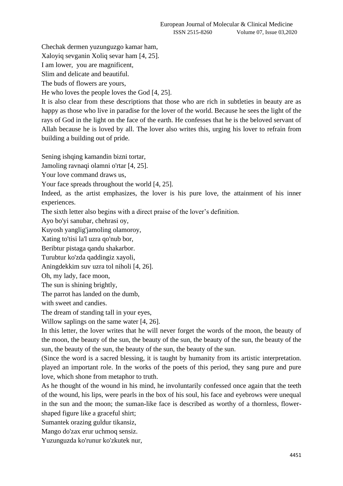Chechak dermen yuzunguzgo kamar ham,

Xaloyiq sevganin Xoliq sevar ham [4, 25].

I am lower, you are magnificent,

Slim and delicate and beautiful.

The buds of flowers are yours,

He who loves the people loves the God [4, 25].

It is also clear from these descriptions that those who are rich in subtleties in beauty are as happy as those who live in paradise for the lover of the world. Because he sees the light of the rays of God in the light on the face of the earth. He confesses that he is the beloved servant of Allah because he is loved by all. The lover also writes this, urging his lover to refrain from building a building out of pride.

Sening ishqing kamandin bizni tortar,

Jamoling ravnaqi olamni o'rtar [4, 25].

Your love command draws us,

Your face spreads throughout the world [4, 25].

Indeed, as the artist emphasizes, the lover is his pure love, the attainment of his inner experiences.

The sixth letter also begins with a direct praise of the lover's definition.

Ayo bo'yi sanubar, chehrasi oy,

Kuyosh yanglig'jamoling olamoroy,

Xating to'tisi la'l uzra qo'nub bor,

Beribtur pistaga qandu shakarbor.

Turubtur ko'zda qaddingiz xayoli,

Aningdekkim suv uzra tol niholi [4, 26].

Oh, my lady, face moon,

The sun is shining brightly,

The parrot has landed on the dumb,

with sweet and candies.

The dream of standing tall in your eyes,

Willow saplings on the same water [4, 26].

In this letter, the lover writes that he will never forget the words of the moon, the beauty of the moon, the beauty of the sun, the beauty of the sun, the beauty of the sun, the beauty of the sun, the beauty of the sun, the beauty of the sun, the beauty of the sun.

(Since the word is a sacred blessing, it is taught by humanity from its artistic interpretation. played an important role. In the works of the poets of this period, they sang pure and pure love, which shone from metaphor to truth.

As he thought of the wound in his mind, he involuntarily confessed once again that the teeth of the wound, his lips, were pearls in the box of his soul, his face and eyebrows were unequal in the sun and the moon; the suman-like face is described as worthy of a thornless, flowershaped figure like a graceful shirt;

Sumantek orazing guldur tikansiz,

Mango do'zax erur uchmoq sensiz.

Yuzunguzda ko'runur ko'zkutek nur,